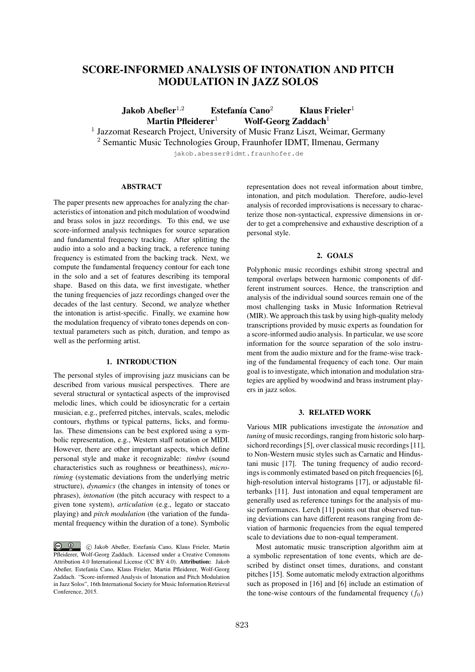# SCORE-INFORMED ANALYSIS OF INTONATION AND PITCH MODULATION IN JAZZ SOLOS

Jakob Abeßer<sup>1,2</sup> Estefanía Cano<sup>2</sup> Klaus Frieler<sup>1</sup> Martin Pfleiderer<sup>1</sup> Wolf-Georg Zaddach<sup>1</sup>

<sup>1</sup> Jazzomat Research Project, University of Music Franz Liszt, Weimar, Germany

<sup>2</sup> Semantic Music Technologies Group, Fraunhofer IDMT, Ilmenau, Germany

jakob.abesser@idmt.fraunhofer.de

#### ABSTRACT

The paper presents new approaches for analyzing the characteristics of intonation and pitch modulation of woodwind and brass solos in jazz recordings. To this end, we use score-informed analysis techniques for source separation and fundamental frequency tracking. After splitting the audio into a solo and a backing track, a reference tuning frequency is estimated from the backing track. Next, we compute the fundamental frequency contour for each tone in the solo and a set of features describing its temporal shape. Based on this data, we first investigate, whether the tuning frequencies of jazz recordings changed over the decades of the last century. Second, we analyze whether the intonation is artist-specific. Finally, we examine how the modulation frequency of vibrato tones depends on contextual parameters such as pitch, duration, and tempo as well as the performing artist.

# 1. INTRODUCTION

The personal styles of improvising jazz musicians can be described from various musical perspectives. There are several structural or syntactical aspects of the improvised melodic lines, which could be idiosyncratic for a certain musician, e.g., preferred pitches, intervals, scales, melodic contours, rhythms or typical patterns, licks, and formulas. These dimensions can be best explored using a symbolic representation, e.g., Western staff notation or MIDI. However, there are other important aspects, which define personal style and make it recognizable: *timbre* (sound characteristics such as roughness or breathiness), *microtiming* (systematic deviations from the underlying metric structure), *dynamics* (the changes in intensity of tones or phrases), *intonation* (the pitch accuracy with respect to a given tone system), *articulation* (e.g., legato or staccato playing) and *pitch modulation* (the variation of the fundamental frequency within the duration of a tone). Symbolic

representation does not reveal information about timbre, intonation, and pitch modulation. Therefore, audio-level analysis of recorded improvisations is necessary to characterize those non-syntactical, expressive dimensions in order to get a comprehensive and exhaustive description of a personal style.

### 2. GOALS

Polyphonic music recordings exhibit strong spectral and temporal overlaps between harmonic components of different instrument sources. Hence, the transcription and analysis of the individual sound sources remain one of the most challenging tasks in Music Information Retrieval (MIR). We approach this task by using high-quality melody transcriptions provided by music experts as foundation for a score-informed audio analysis. In particular, we use score information for the source separation of the solo instrument from the audio mixture and for the frame-wise tracking of the fundamental frequency of each tone. Our main goal is to investigate, which intonation and modulation strategies are applied by woodwind and brass instrument players in jazz solos.

#### 3. RELATED WORK

Various MIR publications investigate the *intonation* and *tuning* of music recordings, ranging from historic solo harpsichord recordings [5], over classical music recordings [11], to Non-Western music styles such as Carnatic and Hindustani music [17]. The tuning frequency of audio recordings is commonly estimated based on pitch frequencies [6], high-resolution interval histograms [17], or adjustable filterbanks [11]. Just intonation and equal temperament are generally used as reference tunings for the analysis of music performances. Lerch [11] points out that observed tuning deviations can have different reasons ranging from deviation of harmonic frequencies from the equal tempered scale to deviations due to non-equal temperament.

Most automatic music transcription algorithm aim at a symbolic representation of tone events, which are described by distinct onset times, durations, and constant pitches [15]. Some automatic melody extraction algorithms such as proposed in [16] and [6] include an estimation of the tone-wise contours of the fundamental frequency  $(f_0)$ 

C <sup>1</sup> C Jakob Abeßer, Estefanía Cano, Klaus Frieler, Martin Pfleiderer, Wolf-Georg Zaddach. Licensed under a Creative Commons Attribution 4.0 International License (CC BY 4.0). Attribution: Jakob Abeßer, Estefanía Cano, Klaus Frieler, Martin Pfleiderer, Wolf-Georg Zaddach. "Score-informed Analysis of Intonation and Pitch Modulation in Jazz Solos", 16th International Society for Music Information Retrieval Conference, 2015.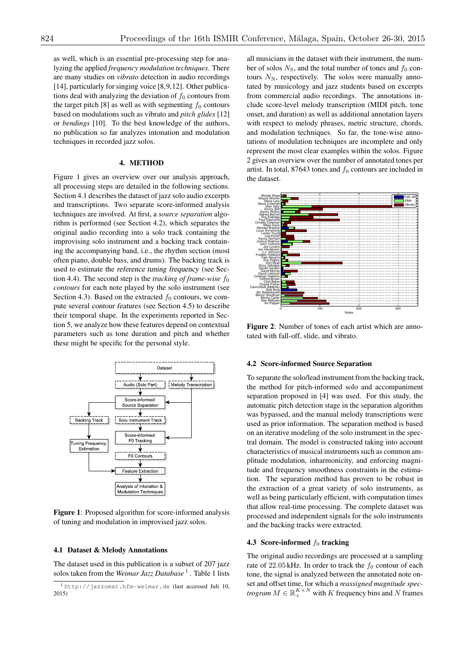as well, which is an essential pre-processing step for analyzing the applied *frequency modulation techniques*. There are many studies on *vibrato* detection in audio recordings [14], particularly for singing voice [8,9,12]. Other publications deal with analyzing the deviation of  $f_0$  contours from the target pitch [8] as well as with segmenting  $f_0$  contours based on modulations such as vibrato and *pitch glides* [12] or *bendings* [10]. To the best knowledge of the authors, no publication so far analyzes intonation and modulation techniques in recorded jazz solos.

### 4. METHOD

Figure 1 gives an overview over our analysis approach, all processing steps are detailed in the following sections. Section 4.1 describes the dataset of jazz solo audio excerpts and transcriptions. Two separate score-informed analysis techniques are involved. At first, a *source separation* algorithm is performed (see Section 4.2), which separates the original audio recording into a solo track containing the improvising solo instrument and a backing track containing the accompanying band, i.e., the rhythm section (most often piano, double bass, and drums). The backing track is used to estimate the *reference tuning frequency* (see Section 4.4). The second step is the *tracking of frame-wise*  $f_0$ *contours* for each note played by the solo instrument (see Section 4.3). Based on the extracted  $f_0$  contours, we compute several *contour features* (see Section 4.5) to describe their temporal shape. In the experiments reported in Section 5, we analyze how these features depend on contextual parameters such as tone duration and pitch and whether these might be specific for the personal style.



Figure 1: Proposed algorithm for score-informed analysis of tuning and modulation in improvised jazz solos.

#### 4.1 Dataset & Melody Annotations

The dataset used in this publication is a subset of 207 jazz solos taken from the *Weimar Jazz Database*<sup>1</sup>. Table 1 lists all musicians in the dataset with their instrument, the number of solos  $N<sub>S</sub>$ , and the total number of tones and  $f<sub>0</sub>$  contours  $N_N$ , respectively. The solos were manually annotated by musicology and jazz students based on excerpts from commercial audio recordings. The annotations include score-level melody transcription (MIDI pitch, tone onset, and duration) as well as additional annotation layers with respect to melody phrases, metric structure, chords, and modulation techniques. So far, the tone-wise annotations of modulation techniques are incomplete and only represent the most clear examples within the solos. Figure 2 gives an overview over the number of annotated tones per artist. In total,  $87643$  tones and  $f_0$  contours are included in the dataset.



Figure 2: Number of tones of each artist which are annotated with fall-off, slide, and vibrato.

#### 4.2 Score-informed Source Separation

To separate the solo/lead instrument from the backing track, the method for pitch-informed solo and accompaniment separation proposed in [4] was used. For this study, the automatic pitch detection stage in the separation algorithm was bypassed, and the manual melody transcriptions were used as prior information. The separation method is based on an iterative modeling of the solo instrument in the spectral domain. The model is constructed taking into account characteristics of musical instruments such as common amplitude modulation, inharmonicity, and enforcing magnitude and frequency smoothness constraints in the estimation. The separation method has proven to be robust in the extraction of a great variety of solo instruments, as well as being particularly efficient, with computation times that allow real-time processing. The complete dataset was processed and independent signals for the solo instruments and the backing tracks were extracted.

## 4.3 Score-informed  $f_0$  tracking

The original audio recordings are processed at a sampling rate of 22.05 kHz. In order to track the  $f_0$  contour of each tone, the signal is analyzed between the annotated note onset and offset time, for which a *reassigned magnitude spectrogram*  $M \in \mathbb{R}_+^{K \times N}$  with *K* frequency bins and *N* frames

<sup>1</sup> http://jazzomat.hfm-weimar.de (last accessed Juli 10, 2015)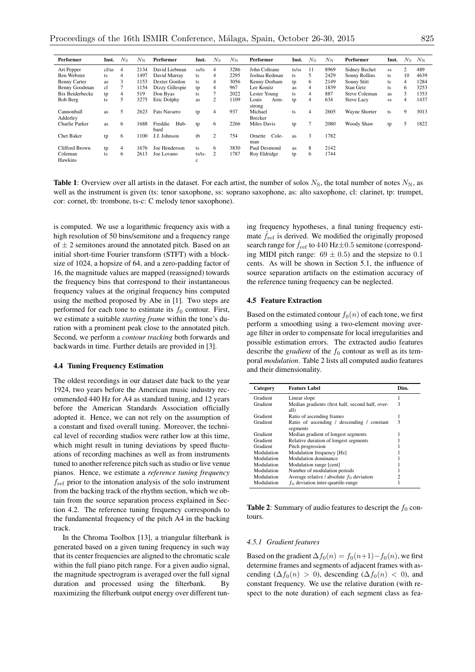| Performer              | Inst. | $N_{\rm S}$    | $N_{\rm N}$ | Performer               | Inst.       | $N_{\rm S}$ | $N_{\rm N}$ | Performer                 | Inst. | $N_{\rm S}$ | $N_{\rm N}$ | Performer            | Inst. | $N_{\rm S}$ | $N_{\rm N}$ |
|------------------------|-------|----------------|-------------|-------------------------|-------------|-------------|-------------|---------------------------|-------|-------------|-------------|----------------------|-------|-------------|-------------|
| Art Pepper             | cl/as | 4              | 2134        | David Liebman           | ss/ts       | 4           | 3286        | John Coltrane             | ts/ss | 11          | 8969        | Sidney Bechet        | SS    | 2           | 489         |
| Ben Webster            | ts    | 4              | 1497        | David Murray            | ts          | 4           | 2295        | Joshua Redman             | ts    |             | 2429        | Sonny Rollins        | ts    | 10          | 4639        |
| <b>Benny Carter</b>    | as    | 3              | 1153        | Dexter Gordon           | ts          | 4           | 3056        | Kenny Dorham              | tp    | 6.          | 2149        | Sonny Stitt          | ts    | 4           | 1284        |
| Benny Goodman          | cl    |                | 1154        | Dizzy Gillespie         | tp          | 4           | 967         | Lee Konitz                | as    | 4           | 1839        | Stan Getz            | ts    | 6           | 3253        |
| Bix Beiderbecke        | tp    | 4              | 519         | Don Byas                | ts          |             | 2022        | Lester Young              | ts    | 4           | 887         | <b>Steve Coleman</b> | as.   | 3           | 1353        |
| Bob Berg               | ts    | 5              | 3275        | Eric Dolphy             | as          | 2           | 1109        | Louis<br>Arm-<br>strong   | tp    | 4           | 634         | <b>Steve Lacy</b>    | SS    | 4           | 1437        |
| Cannonball<br>Adderley | as    | 5              | 2623        | <b>Fats Navarro</b>     | tp          | 4           | 937         | Michael<br><b>Brecker</b> | ts    | 4           | 2605        | Wayne Shorter        | ts    | 9           | 3013        |
| Charlie Parker         | as    | 6              | 1688        | Freddie<br>Hub-<br>bard | tp          | 6           | 2266        | Miles Davis               | tp    |             | 2080        | Woody Shaw           | tp    | 5           | 1822        |
| Chet Baker             | tp    | 6              | 1100        | J.J. Johnson            | tb          | 2           | 754         | Cole-<br>Ornette<br>man   | as    | 3           | 1782        |                      |       |             |             |
| Clifford Brown         | tp    | $\overline{4}$ | 1676        | Joe Henderson           | ts          | 6           | 3830        | Paul Desmond              | as    | 8           | 2142        |                      |       |             |             |
| Coleman<br>Hawkins     | ts    | 6              | 2613        | Joe Lovano              | ts/ts-<br>c | 2           | 1787        | Roy Eldridge              | tp    | 6           | 1744        |                      |       |             |             |

**Table 1**: Overview over all artists in the dataset. For each artist, the number of solos  $N<sub>S</sub>$ , the total number of notes  $N<sub>N</sub>$ , as well as the instrument is given (ts: tenor saxophone, ss: soprano saxophone, as: alto saxophone, cl: clarinet, tp: trumpet, cor: cornet, tb: trombone, ts-c: C melody tenor saxophone).

is computed. We use a logarithmic frequency axis with a high resolution of 50 bins/semitone and a frequency range of *±* 2 semitones around the annotated pitch. Based on an initial short-time Fourier transform (STFT) with a blocksize of 1024, a hopsize of 64, and a zero-padding factor of 16, the magnitude values are mapped (reassigned) towards the frequency bins that correspond to their instantaneous frequency values at the original frequency bins computed using the method proposed by Abe in [1]. Two steps are performed for each tone to estimate its  $f_0$  contour. First, we estimate a suitable *starting frame* within the tone's duration with a prominent peak close to the annotated pitch. Second, we perform a *contour tracking* both forwards and backwards in time. Further details are provided in [3].

#### 4.4 Tuning Frequency Estimation

The oldest recordings in our dataset date back to the year 1924, two years before the American music industry recommended 440 Hz for A4 as standard tuning, and 12 years before the American Standards Association officially adopted it. Hence, we can not rely on the assumption of a constant and fixed overall tuning. Moreover, the technical level of recording studios were rather low at this time, which might result in tuning deviations by speed fluctuations of recording machines as well as from instruments tuned to another reference pitch such as studio or live venue pianos. Hence, we estimate a *reference tuning frequency f*<sub>ref</sub> prior to the intonation analysis of the solo instrument from the backing track of the rhythm section, which we obtain from the source separation process explained in Section 4.2. The reference tuning frequency corresponds to the fundamental frequency of the pitch A4 in the backing track.

In the Chroma Toolbox [13], a triangular filterbank is generated based on a given tuning frequency in such way that its center frequencies are aligned to the chromatic scale within the full piano pitch range. For a given audio signal, the magnitude spectrogram is averaged over the full signal duration and processed using the filterbank. By maximizing the filterbank output energy over different tuning frequency hypotheses, a final tuning frequency estimate  $\hat{f}_{ref}$  is derived. We modified the originally proposed search range for  $f_{ref}$  to 440 Hz $\pm$ 0.5 semitone (corresponding MIDI pitch range:  $69 \pm 0.5$ ) and the stepsize to 0.1 cents. As will be shown in Section 5.1, the influence of source separation artifacts on the estimation accuracy of the reference tuning frequency can be neglected.

# 4.5 Feature Extraction

Based on the estimated contour  $f_0(n)$  of each tone, we first perform a smoothing using a two-element moving average filter in order to compensate for local irregularities and possible estimation errors. The extracted audio features describe the *gradient* of the  $f_0$  contour as well as its temporal *modulation*. Table 2 lists all computed audio features and their dimensionality.

| Category   | <b>Feature Label</b>                                     | Dim. |
|------------|----------------------------------------------------------|------|
| Gradient   | Linear slope                                             |      |
| Gradient   | Median gradients (first half, second half, over-<br>all) | 3    |
| Gradient   | Ratio of ascending frames                                |      |
| Gradient   | Ratio of ascending / descending / constant<br>segments   | 3    |
| Gradient   | Median gradient of longest segments                      |      |
| Gradient   | Relative duration of longest segments                    |      |
| Gradient   | Pitch progression                                        |      |
| Modulation | Modulation frequency [Hz]                                |      |
| Modulation | Modulation dominance                                     |      |
| Modulation | Modulation range [cent]                                  |      |
| Modulation | Number of modulation periods                             |      |
| Modulation | Average relative / absolute $f_0$ deviation              |      |
| Modulation | $f_0$ deviation inter-quartile-range                     |      |

**Table 2:** Summary of audio features to descript the  $f_0$  contours.

#### *4.5.1 Gradient features*

Based on the gradient  $\Delta f_0(n) = f_0(n+1) - f_0(n)$ , we first determine frames and segments of adjacent frames with ascending  $(\Delta f_0(n) > 0)$ , descending  $(\Delta f_0(n) < 0)$ , and constant frequency. We use the relative duration (with respect to the note duration) of each segment class as fea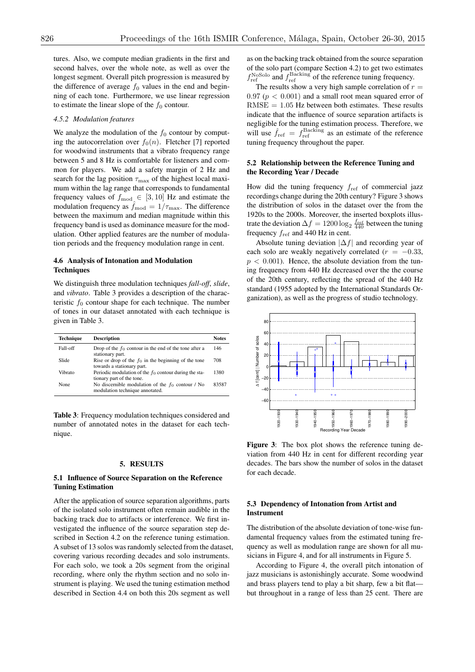tures. Also, we compute median gradients in the first and second halves, over the whole note, as well as over the longest segment. Overall pitch progression is measured by the difference of average  $f_0$  values in the end and beginning of each tone. Furthermore, we use linear regression to estimate the linear slope of the  $f_0$  contour.

# *4.5.2 Modulation features*

We analyze the modulation of the  $f_0$  contour by computing the autocorrelation over  $f_0(n)$ . Fletcher [7] reported for woodwind instruments that a vibrato frequency range between 5 and 8 Hz is comfortable for listeners and common for players. We add a safety margin of 2 Hz and search for the lag position  $\tau_{\text{max}}$  of the highest local maximum within the lag range that corresponds to fundamental frequency values of  $f_{\text{mod}} \in [3, 10]$  Hz and estimate the modulation frequency as  $\hat{f}_{\text{mod}} = 1/\tau_{\text{max}}$ . The difference between the maximum and median magnitude within this frequency band is used as dominance measure for the modulation. Other applied features are the number of modulation periods and the frequency modulation range in cent.

# 4.6 Analysis of Intonation and Modulation **Techniques**

We distinguish three modulation techniques *fall-off*, *slide*, and *vibrato*. Table 3 provides a description of the characteristic  $f_0$  contour shape for each technique. The number of tones in our dataset annotated with each technique is given in Table 3.

| <b>Technique</b> | <b>Description</b>                                                                     | <b>Notes</b> |
|------------------|----------------------------------------------------------------------------------------|--------------|
| Fall-off         | Drop of the $f_0$ contour in the end of the tone after a<br>stationary part.           | 146          |
| Slide            | Rise or drop of the $f_0$ in the beginning of the tone<br>towards a stationary part.   | 708          |
| Vibrato          | Periodic modulation of the $f_0$ contour during the sta-<br>tionary part of the tone.  | 1380         |
| None             | No discernible modulation of the $f_0$ contour / No<br>modulation technique annotated. | 83587        |

Table 3: Frequency modulation techniques considered and number of annotated notes in the dataset for each technique.

#### 5. RESULTS

#### 5.1 Influence of Source Separation on the Reference Tuning Estimation

After the application of source separation algorithms, parts of the isolated solo instrument often remain audible in the backing track due to artifacts or interference. We first investigated the influence of the source separation step described in Section 4.2 on the reference tuning estimation. A subset of 13 solos was randomly selected from the dataset, covering various recording decades and solo instruments. For each solo, we took a 20s segment from the original recording, where only the rhythm section and no solo instrument is playing. We used the tuning estimation method described in Section 4.4 on both this 20s segment as well

as on the backing track obtained from the source separation of the solo part (compare Section 4.2) to get two estimates  $f_{\text{ref}}^{\text{NoSolo}}$  and  $f_{\text{ref}}^{\text{Backing}}$  of the reference tuning frequency.

The results show a very high sample correlation of  $r =$  $0.97$  ( $p < 0.001$ ) and a small root mean squared error of  $RMSE = 1.05$  Hz between both estimates. These results indicate that the influence of source separation artifacts is negligible for the tuning estimation process. Therefore, we will use  $\hat{f}_{ref} = f_{ref}^{Backing}$  as an estimate of the reference tuning frequency throughout the paper.

# 5.2 Relationship between the Reference Tuning and the Recording Year / Decade

How did the tuning frequency *f*ref of commercial jazz recordings change during the 20th century? Figure 3 shows the distribution of solos in the dataset over the from the 1920s to the 2000s. Moreover, the inserted boxplots illustrate the deviation  $\Delta f = 1200 \log_2 \frac{f_{\text{ref}}}{440}$  between the tuning frequency  $f_{ref}$  and 440 Hz in cent.

Absolute tuning deviation  $|\Delta f|$  and recording year of each solo are weakly negatively correlated  $(r = -0.33,$  $p < 0.001$ ). Hence, the absolute deviation from the tuning frequency from 440 Hz decreased over the the course of the 20th century, reflecting the spread of the 440 Hz standard (1955 adopted by the International Standards Organization), as well as the progress of studio technology.



Figure 3: The box plot shows the reference tuning deviation from 440 Hz in cent for different recording year decades. The bars show the number of solos in the dataset for each decade.

# 5.3 Dependency of Intonation from Artist and Instrument

The distribution of the absolute deviation of tone-wise fundamental frequency values from the estimated tuning frequency as well as modulation range are shown for all musicians in Figure 4, and for all instruments in Figure 5.

According to Figure 4, the overall pitch intonation of jazz musicians is astonishingly accurate. Some woodwind and brass players tend to play a bit sharp, few a bit flat but throughout in a range of less than 25 cent. There are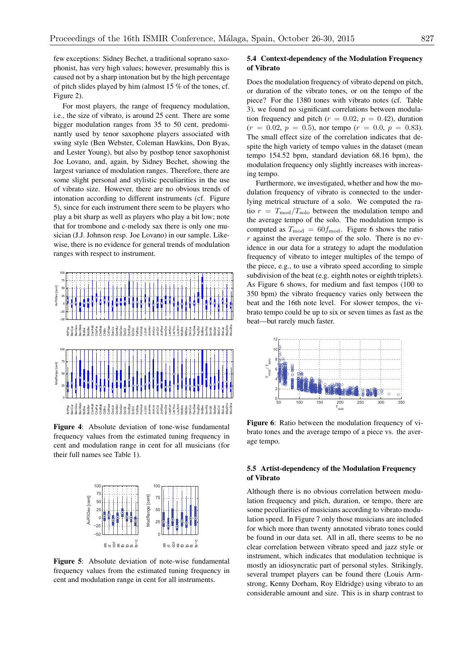few exceptions: Sidney Bechet, a traditional soprano saxophonist, has very high values; however, presumably this is caused not by a sharp intonation but by the high percentage of pitch slides played by him (almost 15 % of the tones, cf. Figure 2).

For most players, the range of frequency modulation, i.e., the size of vibrato, is around 25 cent. There are some bigger modulation ranges from 35 to 50 cent, predominantly used by tenor saxophone players associated with swing style (Ben Webster, Coleman Hawkins, Don Byas, and Lester Young), but also by postbop tenor saxophonist Joe Lovano, and, again, by Sidney Bechet, showing the largest variance of modulation ranges. Therefore, there are some slight personal and stylistic peculiarities in the use of vibrato size. However, there are no obvious trends of intonation according to different instruments (cf. Figure 5), since for each instrument there seem to be players who play a bit sharp as well as players who play a bit low; note that for trombone and c-melody sax there is only one musician (J.J. Johnson resp. Joe Lovano) in our sample. Likewise, there is no evidence for general trends of modulation ranges with respect to instrument.



Figure 4: Absolute deviation of tone-wise fundamental frequency values from the estimated tuning frequency in cent and modulation range in cent for all musicians (for their full names see Table 1).



Figure 5: Absolute deviation of note-wise fundamental frequency values from the estimated tuning frequency in cent and modulation range in cent for all instruments.

# 5.4 Context-dependency of the Modulation Frequency of Vibrato

Does the modulation frequency of vibrato depend on pitch, or duration of the vibrato tones, or on the tempo of the piece? For the 1380 tones with vibrato notes (cf. Table 3), we found no significant correlations between modulation frequency and pitch ( $r = 0.02$ ,  $p = 0.42$ ), duration  $(r = 0.02, p = 0.5)$ , nor tempo  $(r = 0.0, p = 0.83)$ . The small effect size of the correlation indicates that despite the high variety of tempo values in the dataset (mean tempo 154.52 bpm, standard deviation 68.16 bpm), the modulation frequency only slightly increases with increasing tempo.

Furthermore, we investigated, whether and how the modulation frequency of vibrato is connected to the underlying metrical structure of a solo. We computed the ratio  $r = T_{\text{mod}}/T_{\text{solo}}$  between the modulation tempo and the average tempo of the solo. The modulation tempo is computed as  $T_{\text{mod}} = 60 f_{\text{mod}}$ . Figure 6 shows the ratio *r* against the average tempo of the solo. There is no evidence in our data for a strategy to adapt the modulation frequency of vibrato to integer multiples of the tempo of the piece, e.g., to use a vibrato speed according to simple subdivision of the beat (e.g. eighth notes or eighth triplets). As Figure 6 shows, for medium and fast tempos (100 to 350 bpm) the vibrato frequency varies only between the beat and the 16th note level. For slower tempos, the vibrato tempo could be up to six or seven times as fast as the beat—but rarely much faster.



Figure 6: Ratio between the modulation frequency of vibrato tones and the average tempo of a piece vs. the average tempo.

# 5.5 Artist-dependency of the Modulation Frequency of Vibrato

Although there is no obvious correlation between modulation frequency and pitch, duration, or tempo, there are some peculiarities of musicians according to vibrato modulation speed. In Figure 7 only those musicians are included for which more than twenty annotated vibrato tones could be found in our data set. All in all, there seems to be no clear correlation between vibrato speed and jazz style or instrument, which indicates that modulation technique is mostly an idiosyncratic part of personal styles. Strikingly, several trumpet players can be found there (Louis Armstrong, Kenny Dorham, Roy Eldridge) using vibrato to an considerable amount and size. This is in sharp contrast to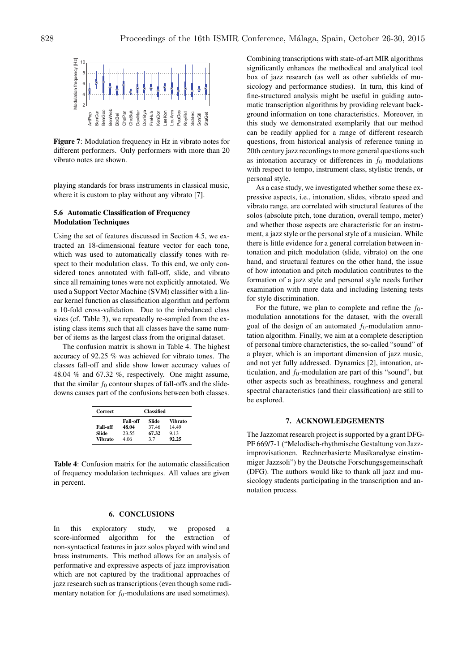

Figure 7: Modulation frequency in Hz in vibrato notes for different performers. Only performers with more than 20 vibrato notes are shown.

playing standards for brass instruments in classical music, where it is custom to play without any vibrato [7].

# 5.6 Automatic Classification of Frequency Modulation Techniques

Using the set of features discussed in Section 4.5, we extracted an 18-dimensional feature vector for each tone, which was used to automatically classify tones with respect to their modulation class. To this end, we only considered tones annotated with fall-off, slide, and vibrato since all remaining tones were not explicitly annotated. We used a Support Vector Machine (SVM) classifier with a linear kernel function as classification algorithm and perform a 10-fold cross-validation. Due to the imbalanced class sizes (cf. Table 3), we repeatedly re-sampled from the existing class items such that all classes have the same number of items as the largest class from the original dataset.

The confusion matrix is shown in Table 4. The highest accuracy of 92.25 % was achieved for vibrato tones. The classes fall-off and slide show lower accuracy values of 48.04 % and 67.32 %, respectively. One might assume, that the similar  $f_0$  contour shapes of fall-offs and the slidedowns causes part of the confusions between both classes.

| <b>Correct</b> | <b>Classified</b> |       |         |  |  |  |
|----------------|-------------------|-------|---------|--|--|--|
|                | Fall-off          | Slide | Vibrato |  |  |  |
| Fall-off       | 48.04             | 37.46 | 14.49   |  |  |  |
| Slide          | 23.55             | 67.32 | 9.13    |  |  |  |
| Vibrato        | 4.06              | 37    | 92.25   |  |  |  |

Table 4: Confusion matrix for the automatic classification of frequency modulation techniques. All values are given in percent.

#### 6. CONCLUSIONS

In this exploratory study, we proposed a score-informed algorithm for the extraction of non-syntactical features in jazz solos played with wind and brass instruments. This method allows for an analysis of performative and expressive aspects of jazz improvisation which are not captured by the traditional approaches of jazz research such as transcriptions (even though some rudimentary notation for  $f_0$ -modulations are used sometimes).

Combining transcriptions with state-of-art MIR algorithms significantly enhances the methodical and analytical tool box of jazz research (as well as other subfields of musicology and performance studies). In turn, this kind of fine-structured analysis might be useful in guiding automatic transcription algorithms by providing relevant background information on tone characteristics. Moreover, in this study we demonstrated exemplarily that our method can be readily applied for a range of different research questions, from historical analysis of reference tuning in 20th century jazz recordings to more general questions such as intonation accuracy or differences in  $f_0$  modulations with respect to tempo, instrument class, stylistic trends, or personal style.

As a case study, we investigated whether some these expressive aspects, i.e., intonation, slides, vibrato speed and vibrato range, are correlated with structural features of the solos (absolute pitch, tone duration, overall tempo, meter) and whether those aspects are characteristic for an instrument, a jazz style or the personal style of a musician. While there is little evidence for a general correlation between intonation and pitch modulation (slide, vibrato) on the one hand, and structural features on the other hand, the issue of how intonation and pitch modulation contributes to the formation of a jazz style and personal style needs further examination with more data and including listening tests for style discrimination.

For the future, we plan to complete and refine the  $f_0$ modulation annotations for the dataset, with the overall goal of the design of an automated  $f_0$ -modulation annotation algorithm. Finally, we aim at a complete description of personal timbre characteristics, the so-called "sound" of a player, which is an important dimension of jazz music, and not yet fully addressed. Dynamics [2], intonation, articulation, and  $f_0$ -modulation are part of this "sound", but other aspects such as breathiness, roughness and general spectral characteristics (and their classification) are still to be explored.

#### 7. ACKNOWLEDGEMENTS

The Jazzomat research project is supported by a grant DFG-PF 669/7-1 ("Melodisch-rhythmische Gestaltung von Jazzimprovisationen. Rechnerbasierte Musikanalyse einstimmiger Jazzsoli") by the Deutsche Forschungsgemeinschaft (DFG). The authors would like to thank all jazz and musicology students participating in the transcription and annotation process.